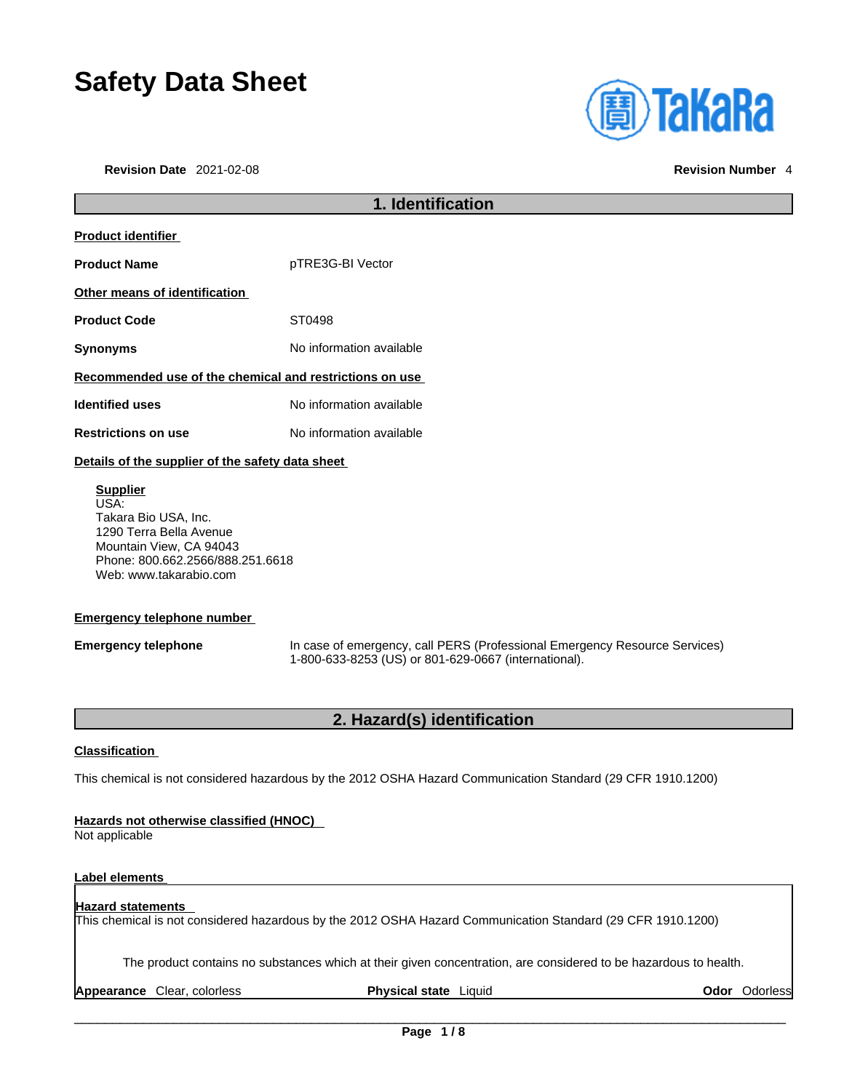# **Safety Data Sheet**

**Revision Date** 2021-02-08 **Revision Number** 4



# **1. Identification Product identifier Product Name** pTRE3G-BI Vector **Other means of identification** Product Code **ST0498 Synonyms** No information available **Recommended use of the chemical and restrictions on use Identified uses** No information available **Restrictions on use** No information available **Details of the supplier of the safety data sheet**

**Supplier** USA: Takara Bio USA, Inc. 1290 Terra Bella Avenue Mountain View, CA 94043 Phone: 800.662.2566/888.251.6618 Web: www.takarabio.com

### **Emergency telephone number**

**Emergency telephone** In case of emergency, call PERS (Professional Emergency Resource Services) 1-800-633-8253 (US) or 801-629-0667 (international).

### **2. Hazard(s) identification**

### **Classification**

This chemical is not considered hazardous by the 2012 OSHA Hazard Communication Standard (29 CFR 1910.1200)

### **Hazards not otherwise classified (HNOC)**

Not applicable

### **Label elements**

### **Hazard statements**  This chemical is not considered hazardous by the 2012 OSHA Hazard Communication Standard (29 CFR 1910.1200)

The product contains no substances which at their given concentration, are considered to be hazardous to health.

**Appearance** Clear, colorless **Physical state** Liquid **Odor** Odorless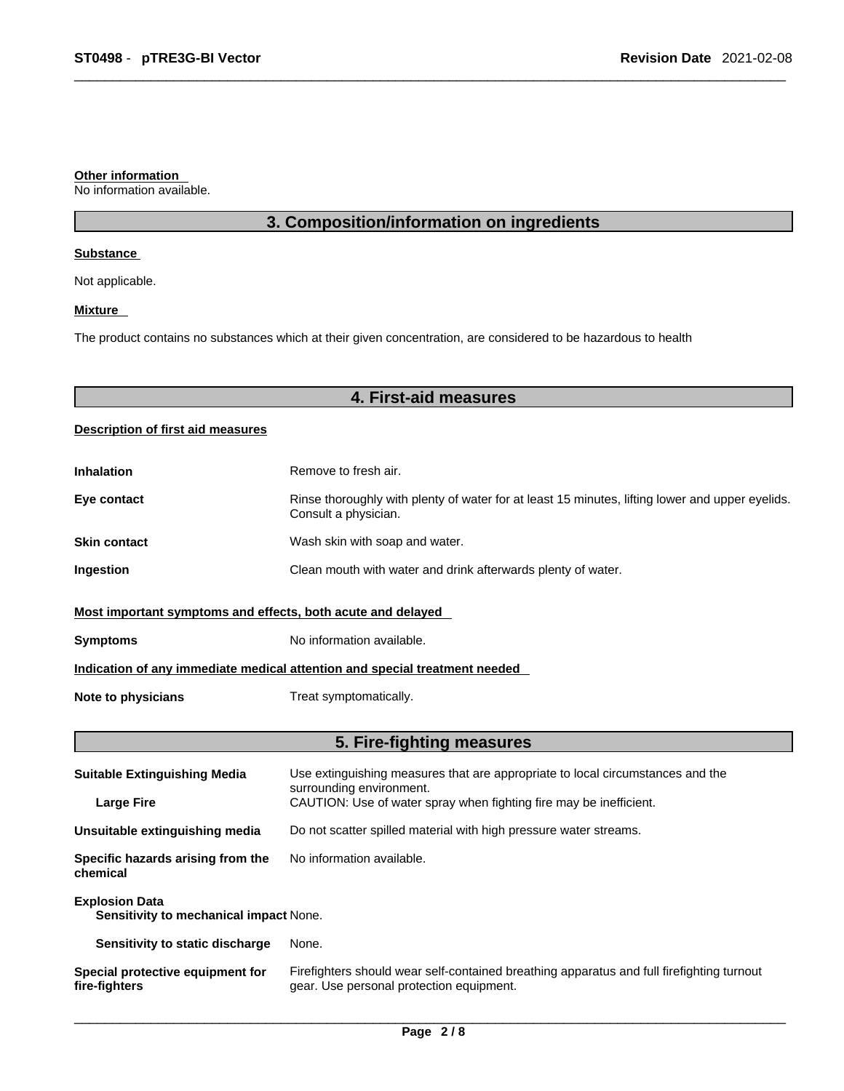#### **Other information**

No information available.

### **3. Composition/information on ingredients**

### **Substance**

Not applicable.

### **Mixture**

The product contains no substances which at their given concentration, are considered to be hazardous to health

### **4. First-aid measures**

### **Description of first aid measures**

| <b>Inhalation</b>                                                          | Remove to fresh air.                                                                                                    |  |
|----------------------------------------------------------------------------|-------------------------------------------------------------------------------------------------------------------------|--|
| Eye contact                                                                | Rinse thoroughly with plenty of water for at least 15 minutes, lifting lower and upper eyelids.<br>Consult a physician. |  |
| <b>Skin contact</b>                                                        | Wash skin with soap and water.                                                                                          |  |
| Ingestion                                                                  | Clean mouth with water and drink afterwards plenty of water.                                                            |  |
| Most important symptoms and effects, both acute and delayed                |                                                                                                                         |  |
| <b>Symptoms</b>                                                            | No information available.                                                                                               |  |
| Indication of any immediate medical attention and special treatment needed |                                                                                                                         |  |
| Note to physicians                                                         | Treat symptomatically.                                                                                                  |  |

### **5. Fire-fighting measures**

| <b>Suitable Extinguishing Media</b>                             | Use extinguishing measures that are appropriate to local circumstances and the<br>surrounding environment.                            |  |
|-----------------------------------------------------------------|---------------------------------------------------------------------------------------------------------------------------------------|--|
| <b>Large Fire</b>                                               | CAUTION: Use of water spray when fighting fire may be inefficient.                                                                    |  |
| Unsuitable extinguishing media                                  | Do not scatter spilled material with high pressure water streams.                                                                     |  |
| Specific hazards arising from the<br>chemical                   | No information available.                                                                                                             |  |
| <b>Explosion Data</b><br>Sensitivity to mechanical impact None. |                                                                                                                                       |  |
| Sensitivity to static discharge                                 | None.                                                                                                                                 |  |
| Special protective equipment for<br>fire-fighters               | Firefighters should wear self-contained breathing apparatus and full firefighting turnout<br>gear. Use personal protection equipment. |  |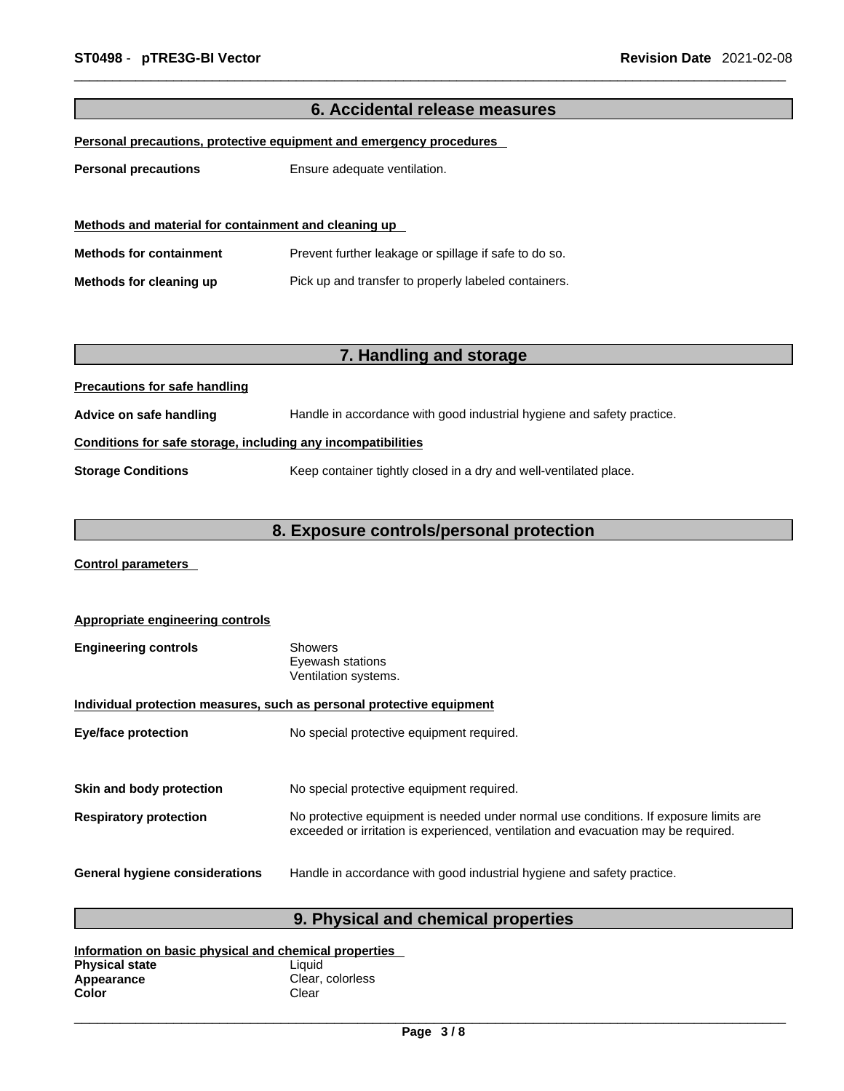| 6. Accidental release measures                               |                                                                        |  |
|--------------------------------------------------------------|------------------------------------------------------------------------|--|
|                                                              | Personal precautions, protective equipment and emergency procedures    |  |
|                                                              |                                                                        |  |
| <b>Personal precautions</b>                                  | Ensure adequate ventilation.                                           |  |
|                                                              |                                                                        |  |
|                                                              |                                                                        |  |
| Methods and material for containment and cleaning up         |                                                                        |  |
| <b>Methods for containment</b>                               | Prevent further leakage or spillage if safe to do so.                  |  |
| Methods for cleaning up                                      | Pick up and transfer to properly labeled containers.                   |  |
|                                                              |                                                                        |  |
|                                                              |                                                                        |  |
|                                                              |                                                                        |  |
|                                                              | 7. Handling and storage                                                |  |
| <b>Precautions for safe handling</b>                         |                                                                        |  |
| Advice on safe handling                                      | Handle in accordance with good industrial hygiene and safety practice. |  |
| Conditions for safe storage, including any incompatibilities |                                                                        |  |
| <b>Storage Conditions</b>                                    | Keep container tightly closed in a dry and well-ventilated place.      |  |
|                                                              |                                                                        |  |
|                                                              |                                                                        |  |
|                                                              | 8. Exposure controls/personal protection                               |  |
|                                                              |                                                                        |  |

**Control parameters** 

| Appropriate engineering controls                                      |                                                                                                                                                                             |  |
|-----------------------------------------------------------------------|-----------------------------------------------------------------------------------------------------------------------------------------------------------------------------|--|
| <b>Engineering controls</b>                                           | Showers<br>Eyewash stations<br>Ventilation systems.                                                                                                                         |  |
| Individual protection measures, such as personal protective equipment |                                                                                                                                                                             |  |
| <b>Eye/face protection</b>                                            | No special protective equipment required.                                                                                                                                   |  |
| Skin and body protection                                              | No special protective equipment required.                                                                                                                                   |  |
| <b>Respiratory protection</b>                                         | No protective equipment is needed under normal use conditions. If exposure limits are<br>exceeded or irritation is experienced, ventilation and evacuation may be required. |  |
| <b>General hygiene considerations</b>                                 | Handle in accordance with good industrial hygiene and safety practice.                                                                                                      |  |

## **9. Physical and chemical properties**

| Information on basic physical and chemical properties |                  |  |
|-------------------------------------------------------|------------------|--|
| <b>Physical state</b>                                 | Liauid           |  |
| Appearance                                            | Clear, colorless |  |
| Color                                                 | Clear            |  |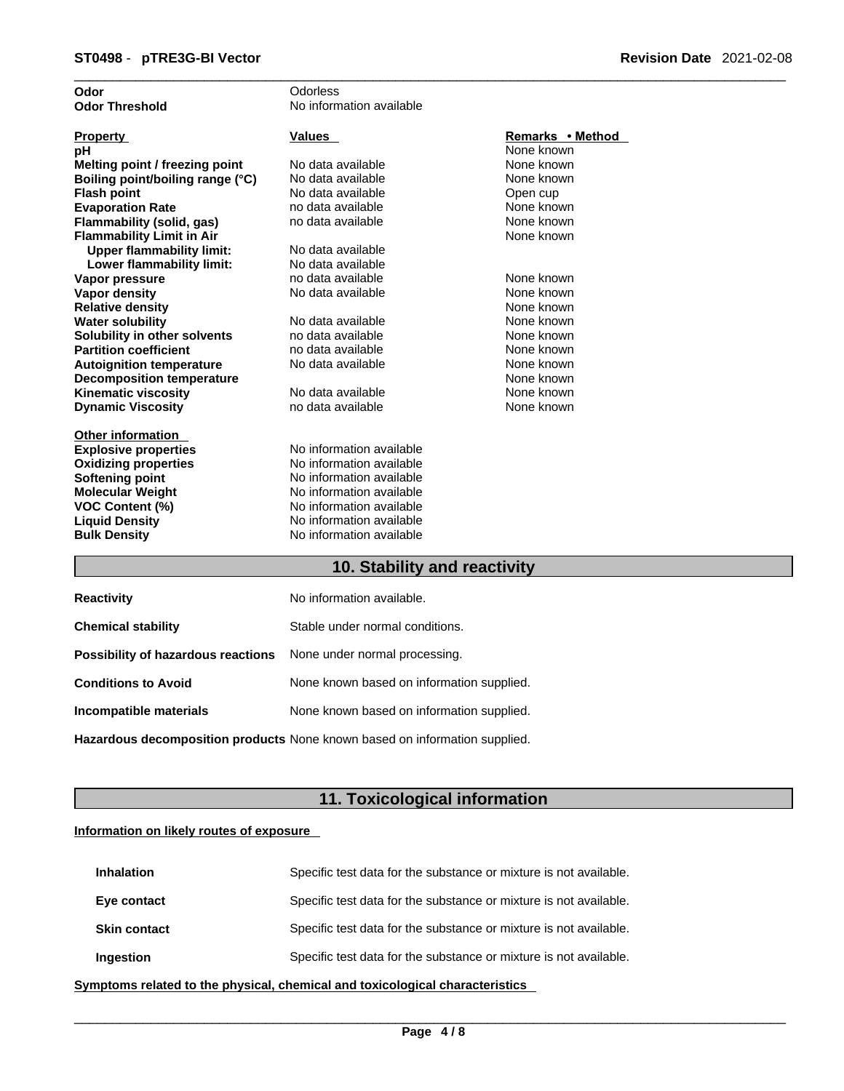| Odor                             | Odorless                 |                  |
|----------------------------------|--------------------------|------------------|
| <b>Odor Threshold</b>            | No information available |                  |
|                                  |                          |                  |
| <b>Property</b>                  | Values                   | Remarks • Method |
| рH                               |                          | None known       |
| Melting point / freezing point   | No data available        | None known       |
| Boiling point/boiling range (°C) | No data available        | None known       |
| <b>Flash point</b>               | No data available        | Open cup         |
| <b>Evaporation Rate</b>          | no data available        | None known       |
| Flammability (solid, gas)        | no data available        | None known       |
| <b>Flammability Limit in Air</b> |                          | None known       |
| <b>Upper flammability limit:</b> | No data available        |                  |
| Lower flammability limit:        | No data available        |                  |
| Vapor pressure                   | no data available        | None known       |
| <b>Vapor density</b>             | No data available        | None known       |
| <b>Relative density</b>          |                          | None known       |
| <b>Water solubility</b>          | No data available        | None known       |
| Solubility in other solvents     | no data available        | None known       |
| <b>Partition coefficient</b>     | no data available        | None known       |
| <b>Autoignition temperature</b>  | No data available        | None known       |
| <b>Decomposition temperature</b> |                          | None known       |
| <b>Kinematic viscosity</b>       | No data available        | None known       |
| <b>Dynamic Viscosity</b>         | no data available        | None known       |
|                                  |                          |                  |
| <b>Other information</b>         |                          |                  |
| <b>Explosive properties</b>      | No information available |                  |
| <b>Oxidizing properties</b>      | No information available |                  |
| Softening point                  | No information available |                  |
| <b>Molecular Weight</b>          | No information available |                  |
| <b>VOC Content (%)</b>           | No information available |                  |
| <b>Liquid Density</b>            | No information available |                  |
| <b>Bulk Density</b>              | No information available |                  |
|                                  |                          |                  |

### **10. Stability and reactivity**

| <b>Reactivity</b>                                                       | No information available.                 |
|-------------------------------------------------------------------------|-------------------------------------------|
| <b>Chemical stability</b>                                               | Stable under normal conditions.           |
| <b>Possibility of hazardous reactions</b> None under normal processing. |                                           |
| <b>Conditions to Avoid</b>                                              | None known based on information supplied. |
| Incompatible materials                                                  | None known based on information supplied. |
|                                                                         |                                           |

**Hazardous decomposition products** None known based on information supplied.

### **11. Toxicological information**

### **Information on likely routes of exposure**

| <b>Inhalation</b>   | Specific test data for the substance or mixture is not available. |
|---------------------|-------------------------------------------------------------------|
| Eye contact         | Specific test data for the substance or mixture is not available. |
| <b>Skin contact</b> | Specific test data for the substance or mixture is not available. |
| <b>Ingestion</b>    | Specific test data for the substance or mixture is not available. |

**<u>Symptoms related to the physical, chemical and toxicological characteristics</u>**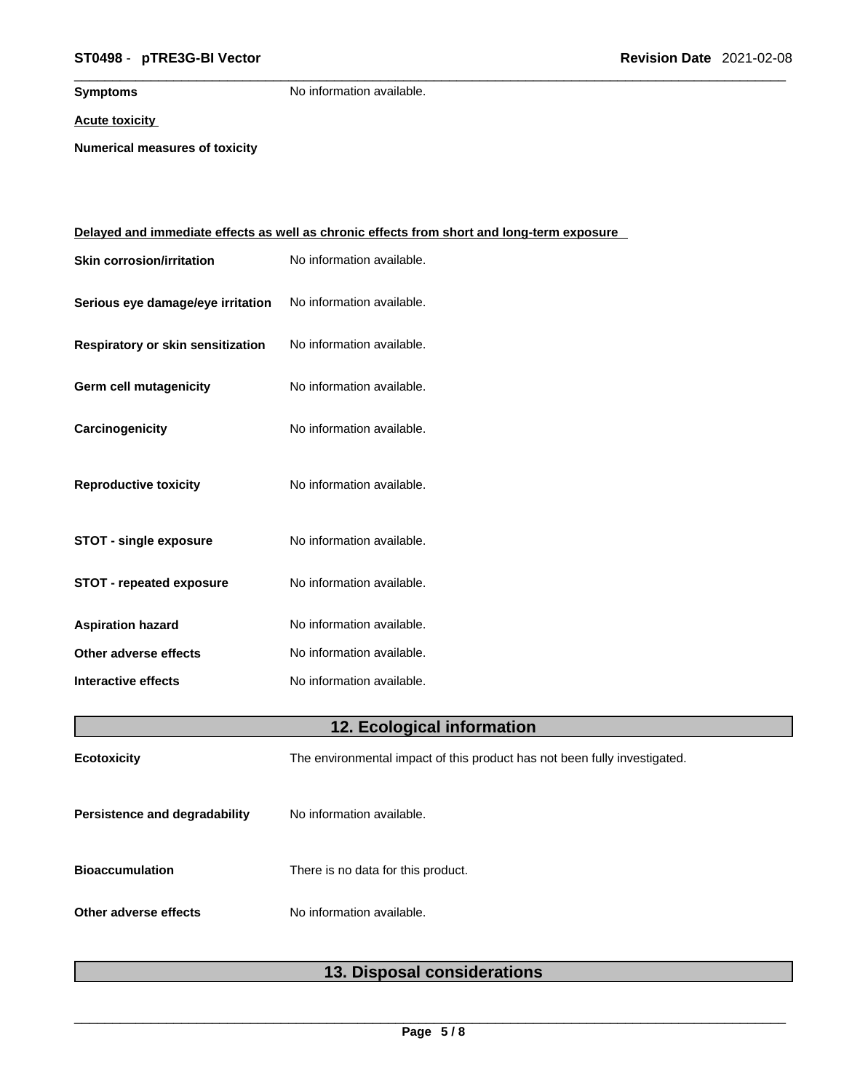### \_\_\_\_\_\_\_\_\_\_\_\_\_\_\_\_\_\_\_\_\_\_\_\_\_\_\_\_\_\_\_\_\_\_\_\_\_\_\_\_\_\_\_\_\_\_\_\_\_\_\_\_\_\_\_\_\_\_\_\_\_\_\_\_\_\_\_\_\_\_\_\_\_\_\_\_\_\_\_\_\_\_\_\_\_\_\_\_\_\_\_\_\_ **ST0498** - **pTRE3G-BI Vector Revision Date** 2021-02-08

**Symptoms** No information available.

**Acute toxicity**

**Numerical measures of toxicity**

|                                   | <u>Delayed and immediate effects as well as chronic effects from short and long-term exposure</u> |
|-----------------------------------|---------------------------------------------------------------------------------------------------|
| <b>Skin corrosion/irritation</b>  | No information available.                                                                         |
| Serious eye damage/eye irritation | No information available.                                                                         |
| Respiratory or skin sensitization | No information available.                                                                         |
| Germ cell mutagenicity            | No information available.                                                                         |
| Carcinogenicity                   | No information available.                                                                         |
| <b>Reproductive toxicity</b>      | No information available.                                                                         |
| <b>STOT - single exposure</b>     | No information available.                                                                         |
| <b>STOT - repeated exposure</b>   | No information available.                                                                         |
| <b>Aspiration hazard</b>          | No information available.                                                                         |
| Other adverse effects             | No information available.                                                                         |
| <b>Interactive effects</b>        | No information available.                                                                         |
|                                   | 12. Ecological information                                                                        |
| Ecotoxicity                       | The environmental impact of this product has not been fully investigated.                         |
| Persistence and degradability     | No information available.                                                                         |
| <b>Bioaccumulation</b>            | There is no data for this product.                                                                |
| Other adverse effects             | No information available.                                                                         |
|                                   |                                                                                                   |

### **13. Disposal considerations**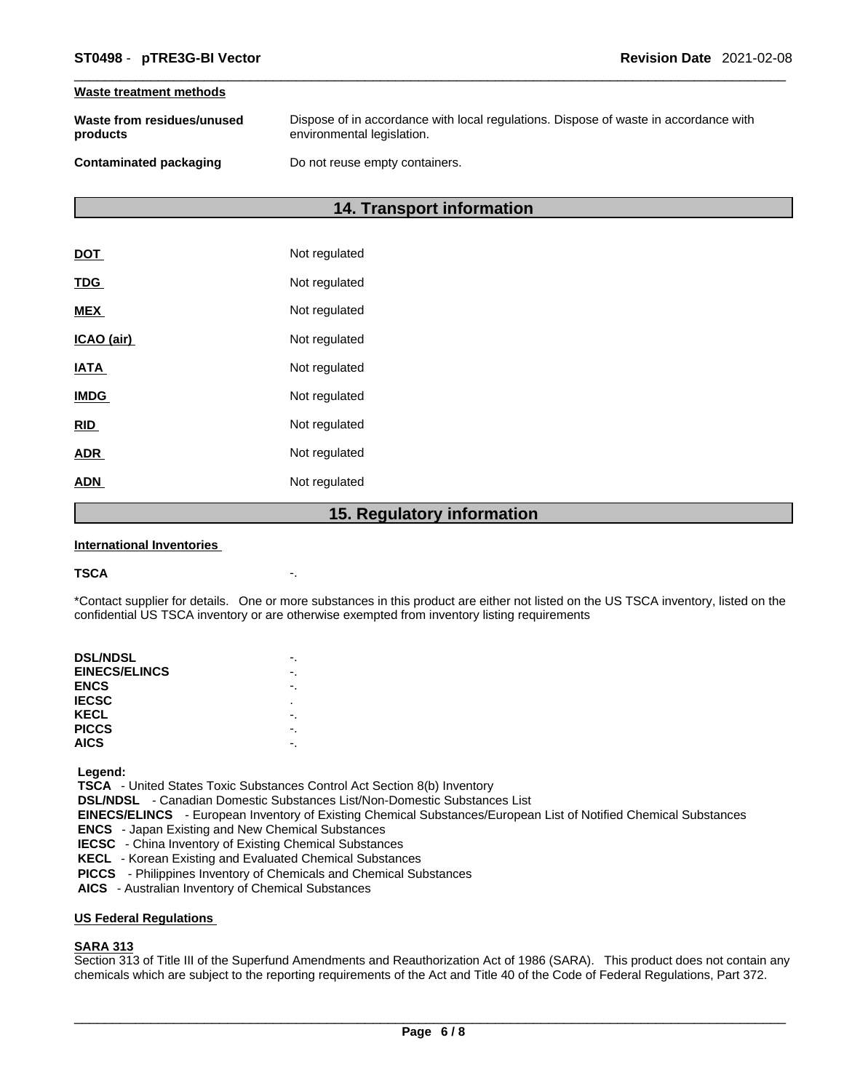#### **Waste treatment methods**

| Waste from residues/unused | Dispose of in accordance with local regulations. Dispose of waste in accordance with |
|----------------------------|--------------------------------------------------------------------------------------|
| products                   | environmental legislation.                                                           |
| Contaminated packaging     | Do not reuse empty containers.                                                       |

### **14. Transport information**

|             | 1 F<br><b>Dogulator</b> |
|-------------|-------------------------|
| <b>ADN</b>  | Not regulated           |
| <b>ADR</b>  | Not regulated           |
| <b>RID</b>  | Not regulated           |
| <b>IMDG</b> | Not regulated           |
| <b>IATA</b> | Not regulated           |
| ICAO (air)  | Not regulated           |
| <b>MEX</b>  | Not regulated           |
| <b>TDG</b>  | Not regulated           |
| <b>DOT</b>  | Not regulated           |

### **15. Regulatory information**

#### **International Inventories**

#### **TSCA** -.

\*Contact supplier for details. One or more substances in this product are either not listed on the US TSCA inventory, listed on the confidential US TSCA inventory or are otherwise exempted from inventory listing requirements

| <b>DSL/NDSL</b>      |   |
|----------------------|---|
| <b>EINECS/ELINCS</b> |   |
| <b>ENCS</b>          |   |
| <b>IECSC</b>         | ٠ |
| KECL                 |   |
| <b>PICCS</b>         |   |
| <b>AICS</b>          |   |
|                      |   |

 **Legend:** 

 **TSCA** - United States Toxic Substances Control Act Section 8(b) Inventory

 **DSL/NDSL** - Canadian Domestic Substances List/Non-Domestic Substances List

 **EINECS/ELINCS** - European Inventory of Existing Chemical Substances/European List of Notified Chemical Substances

 **ENCS** - Japan Existing and New Chemical Substances

 **IECSC** - China Inventory of Existing Chemical Substances

 **KECL** - Korean Existing and Evaluated Chemical Substances

 **PICCS** - Philippines Inventory of Chemicals and Chemical Substances

 **AICS** - Australian Inventory of Chemical Substances

### **US Federal Regulations**

### **SARA 313**

Section 313 of Title III of the Superfund Amendments and Reauthorization Act of 1986 (SARA). This product does not contain any chemicals which are subject to the reporting requirements of the Act and Title 40 of the Code of Federal Regulations, Part 372.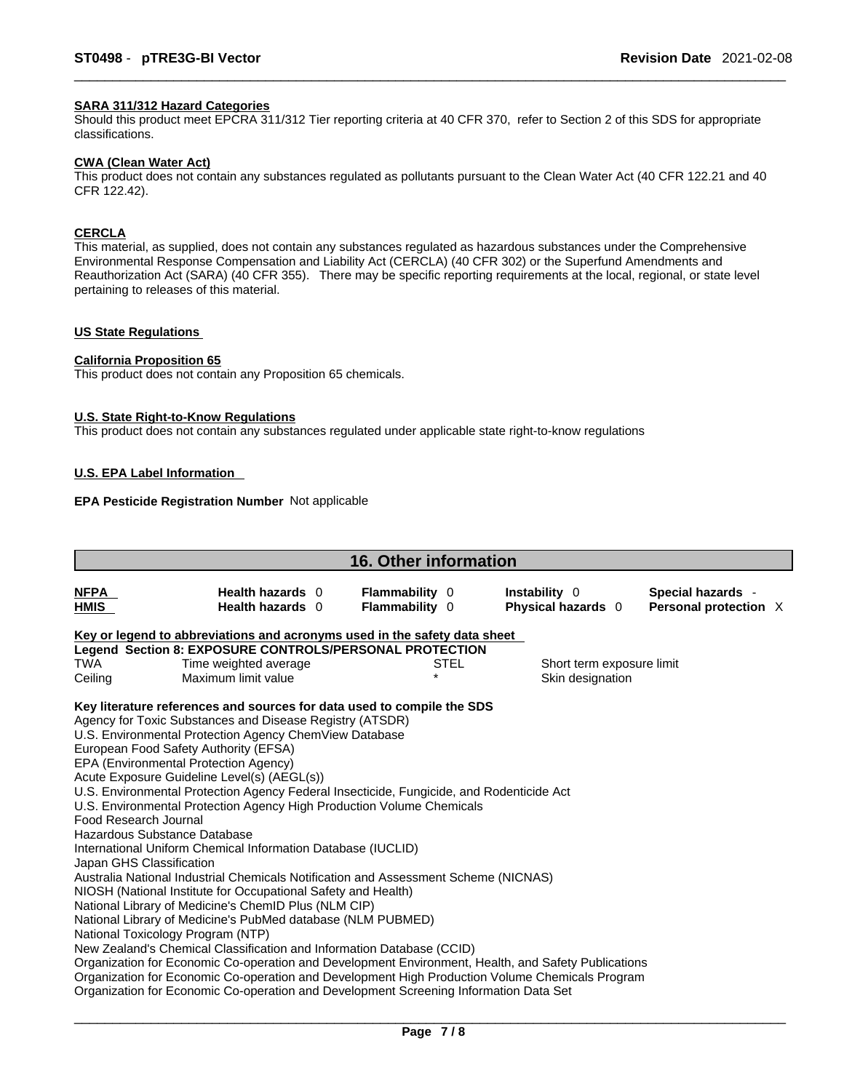### **SARA 311/312 Hazard Categories**

Should this product meet EPCRA 311/312 Tier reporting criteria at 40 CFR 370, refer to Section 2 of this SDS for appropriate classifications.

#### **CWA (Clean WaterAct)**

This product does not contain any substances regulated as pollutants pursuant to the Clean Water Act (40 CFR 122.21 and 40 CFR 122.42).

#### **CERCLA**

This material, as supplied, does not contain any substances regulated as hazardous substances under the Comprehensive Environmental Response Compensation and Liability Act (CERCLA) (40 CFR 302) or the Superfund Amendments and Reauthorization Act (SARA) (40 CFR 355). There may be specific reporting requirements at the local, regional, or state level pertaining to releases of this material.

### **US State Regulations**

#### **California Proposition 65**

This product does not contain any Proposition 65 chemicals.

#### **U.S. State Right-to-Know Regulations**

This product does not contain any substances regulated under applicable state right-to-know regulations

### **U.S. EPA Label Information**

### **EPA Pesticide Registration Number** Not applicable